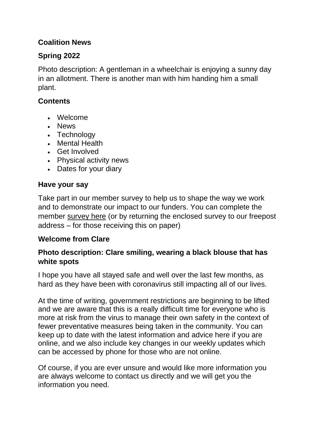# **Coalition News**

# **Spring 2022**

Photo description: A gentleman in a wheelchair is enjoying a sunny day in an allotment. There is another man with him handing him a small plant.

# **Contents**

- Welcome
- News
- Technology
- Mental Health
- Get Involved
- Physical activity news
- Dates for your diary

# **Have your say**

Take part in our member survey to help us to shape the way we work and to demonstrate our impact to our funders. You can complete the member [survey here](https://forms.office.com/Pages/ResponsePage.aspx?id=04NEH2vc8EK8yuEL94UVu5MeO4LsKy5Dky-ARxAOO0xUOFNDV1UxRFAxNUtYWko4UUszS1pCRTNFViQlQCN0PWcu) (or by returning the enclosed survey to our freepost address – for those receiving this on paper)

# **Welcome from Clare**

# **Photo description: Clare smiling, wearing a black blouse that has white spots**

I hope you have all stayed safe and well over the last few months, as hard as they have been with coronavirus still impacting all of our lives.

At the time of writing, government restrictions are beginning to be lifted and we are aware that this is a really difficult time for everyone who is more at risk from the virus to manage their own safety in the context of fewer preventative measures being taken in the community. You can keep up to date with the latest information and advice here if you are online, and we also include key changes in our weekly updates which can be accessed by phone for those who are not online.

Of course, if you are ever unsure and would like more information you are always welcome to contact us directly and we will get you the information you need.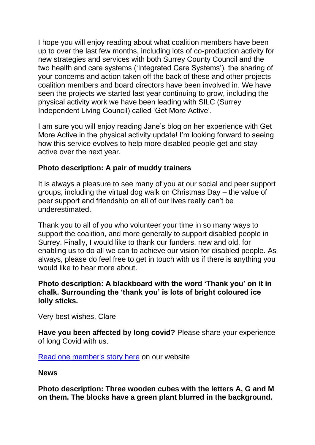I hope you will enjoy reading about what coalition members have been up to over the last few months, including lots of co-production activity for new strategies and services with both Surrey County Council and the two health and care systems ('Integrated Care Systems'), the sharing of your concerns and action taken off the back of these and other projects coalition members and board directors have been involved in. We have seen the projects we started last year continuing to grow, including the physical activity work we have been leading with SILC (Surrey Independent Living Council) called 'Get More Active'.

I am sure you will enjoy reading Jane's blog on her experience with Get More Active in the physical activity update! I'm looking forward to seeing how this service evolves to help more disabled people get and stay active over the next year.

### **Photo description: A pair of muddy trainers**

It is always a pleasure to see many of you at our social and peer support groups, including the virtual dog walk on Christmas Day – the value of peer support and friendship on all of our lives really can't be underestimated.

Thank you to all of you who volunteer your time in so many ways to support the coalition, and more generally to support disabled people in Surrey. Finally, I would like to thank our funders, new and old, for enabling us to do all we can to achieve our vision for disabled people. As always, please do feel free to get in touch with us if there is anything you would like to hear more about.

### **Photo description: A blackboard with the word 'Thank you' on it in chalk. Surrounding the 'thank you' is lots of bright coloured ice lolly sticks.**

Very best wishes, Clare

**Have you been affected by long covid?** Please share your experience of long Covid with us.

[Read one member's story](https://surreycoalition.org.uk/2022/01/06/my-long-covid-journey/) here on our website

**News**

**Photo description: Three wooden cubes with the letters A, G and M on them. The blocks have a green plant blurred in the background.**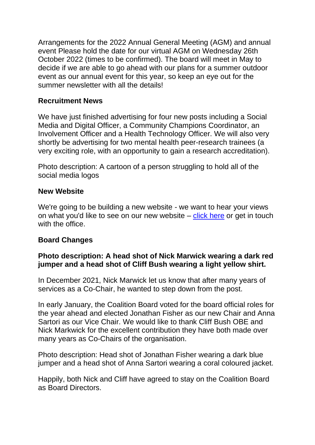Arrangements for the 2022 Annual General Meeting (AGM) and annual event Please hold the date for our virtual AGM on Wednesday 26th October 2022 (times to be confirmed). The board will meet in May to decide if we are able to go ahead with our plans for a summer outdoor event as our annual event for this year, so keep an eye out for the summer newsletter with all the details!

### **Recruitment News**

We have just finished advertising for four new posts including a Social Media and Digital Officer, a Community Champions Coordinator, an Involvement Officer and a Health Technology Officer. We will also very shortly be advertising for two mental health peer-research trainees (a very exciting role, with an opportunity to gain a research accreditation).

Photo description: A cartoon of a person struggling to hold all of the social media logos

### **New Website**

We're going to be building a new website - we want to hear your views on what you'd like to see on our new website – [click here](https://forms.office.com/Pages/ResponsePage.aspx?id=04NEH2vc8EK8yuEL94UVuzT7GkKjnLZMvzQwlJgGwnNUNlI3MVhYQkUxNUYxOVlDVzFSTVhZSlM1Ui4u) or get in touch with the office

### **Board Changes**

### **Photo description: A head shot of Nick Marwick wearing a dark red jumper and a head shot of Cliff Bush wearing a light yellow shirt.**

In December 2021, Nick Marwick let us know that after many years of services as a Co-Chair, he wanted to step down from the post.

In early January, the Coalition Board voted for the board official roles for the year ahead and elected Jonathan Fisher as our new Chair and Anna Sartori as our Vice Chair. We would like to thank Cliff Bush OBE and Nick Markwick for the excellent contribution they have both made over many years as Co-Chairs of the organisation.

Photo description: Head shot of Jonathan Fisher wearing a dark blue jumper and a head shot of Anna Sartori wearing a coral coloured jacket.

Happily, both Nick and Cliff have agreed to stay on the Coalition Board as Board Directors.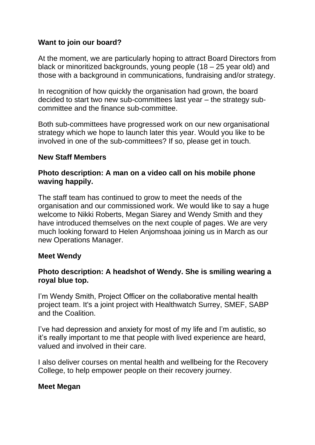## **Want to join our board?**

At the moment, we are particularly hoping to attract Board Directors from black or minoritized backgrounds, young people (18 – 25 year old) and those with a background in communications, fundraising and/or strategy.

In recognition of how quickly the organisation had grown, the board decided to start two new sub-committees last year – the strategy subcommittee and the finance sub-committee.

Both sub-committees have progressed work on our new organisational strategy which we hope to launch later this year. Would you like to be involved in one of the sub-committees? If so, please get in touch.

### **New Staff Members**

### **Photo description: A man on a video call on his mobile phone waving happily.**

The staff team has continued to grow to meet the needs of the organisation and our commissioned work. We would like to say a huge welcome to Nikki Roberts, Megan Siarey and Wendy Smith and they have introduced themselves on the next couple of pages. We are very much looking forward to Helen Anjomshoaa joining us in March as our new Operations Manager.

#### **Meet Wendy**

### **Photo description: A headshot of Wendy. She is smiling wearing a royal blue top.**

I'm Wendy Smith, Project Officer on the collaborative mental health project team. It's a joint project with Healthwatch Surrey, SMEF, SABP and the Coalition.

I've had depression and anxiety for most of my life and I'm autistic, so it's really important to me that people with lived experience are heard, valued and involved in their care.

I also deliver courses on mental health and wellbeing for the Recovery College, to help empower people on their recovery journey.

### **Meet Megan**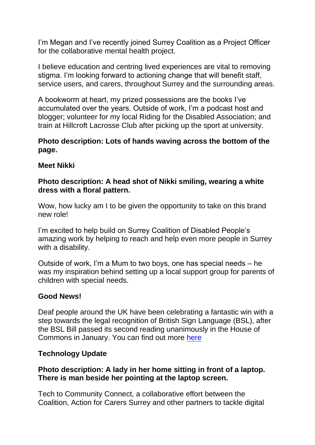I'm Megan and I've recently joined Surrey Coalition as a Project Officer for the collaborative mental health project.

I believe education and centring lived experiences are vital to removing stigma. I'm looking forward to actioning change that will benefit staff, service users, and carers, throughout Surrey and the surrounding areas.

A bookworm at heart, my prized possessions are the books I've accumulated over the years. Outside of work, I'm a podcast host and blogger; volunteer for my local Riding for the Disabled Association; and train at Hillcroft Lacrosse Club after picking up the sport at university.

### **Photo description: Lots of hands waving across the bottom of the page.**

### **Meet Nikki**

### **Photo description: A head shot of Nikki smiling, wearing a white dress with a floral pattern.**

Wow, how lucky am I to be given the opportunity to take on this brand new role!

I'm excited to help build on Surrey Coalition of Disabled People's amazing work by helping to reach and help even more people in Surrey with a disability.

Outside of work, I'm a Mum to two boys, one has special needs – he was my inspiration behind setting up a local support group for parents of children with special needs.

# **Good News!**

Deaf people around the UK have been celebrating a fantastic win with a step towards the legal recognition of British Sign Language (BSL), after the BSL Bill passed its second reading unanimously in the House of Commons in January. You can find out more [here](https://rnid.org.uk/2022/01/bsl-bill-deaf-community-celebrate-as-bill-passes-second-reading/)

# **Technology Update**

### **Photo description: A lady in her home sitting in front of a laptop. There is man beside her pointing at the laptop screen.**

Tech to Community Connect, a collaborative effort between the Coalition, Action for Carers Surrey and other partners to tackle digital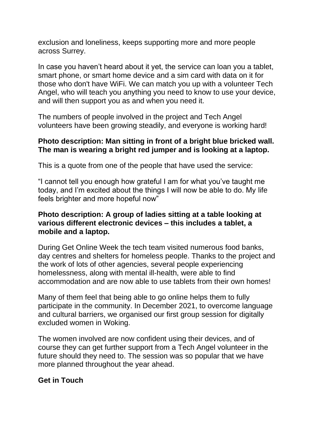exclusion and loneliness, keeps supporting more and more people across Surrey.

In case you haven't heard about it yet, the service can loan you a tablet, smart phone, or smart home device and a sim card with data on it for those who don't have WiFi. We can match you up with a volunteer Tech Angel, who will teach you anything you need to know to use your device, and will then support you as and when you need it.

The numbers of people involved in the project and Tech Angel volunteers have been growing steadily, and everyone is working hard!

### **Photo description: Man sitting in front of a bright blue bricked wall. The man is wearing a bright red jumper and is looking at a laptop.**

This is a quote from one of the people that have used the service:

"I cannot tell you enough how grateful I am for what you've taught me today, and I'm excited about the things I will now be able to do. My life feels brighter and more hopeful now"

### **Photo description: A group of ladies sitting at a table looking at various different electronic devices – this includes a tablet, a mobile and a laptop.**

During Get Online Week the tech team visited numerous food banks, day centres and shelters for homeless people. Thanks to the project and the work of lots of other agencies, several people experiencing homelessness, along with mental ill-health, were able to find accommodation and are now able to use tablets from their own homes!

Many of them feel that being able to go online helps them to fully participate in the community. In December 2021, to overcome language and cultural barriers, we organised our first group session for digitally excluded women in Woking.

The women involved are now confident using their devices, and of course they can get further support from a Tech Angel volunteer in the future should they need to. The session was so popular that we have more planned throughout the year ahead.

### **Get in Touch**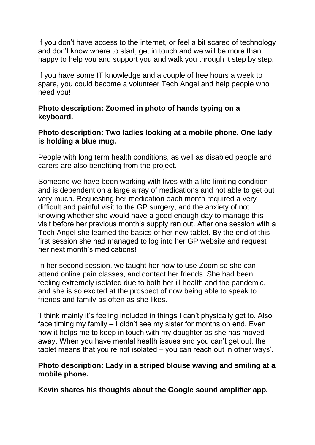If you don't have access to the internet, or feel a bit scared of technology and don't know where to start, get in touch and we will be more than happy to help you and support you and walk you through it step by step.

If you have some IT knowledge and a couple of free hours a week to spare, you could become a volunteer Tech Angel and help people who need you!

### **Photo description: Zoomed in photo of hands typing on a keyboard.**

### **Photo description: Two ladies looking at a mobile phone. One lady is holding a blue mug.**

People with long term health conditions, as well as disabled people and carers are also benefiting from the project.

Someone we have been working with lives with a life-limiting condition and is dependent on a large array of medications and not able to get out very much. Requesting her medication each month required a very difficult and painful visit to the GP surgery, and the anxiety of not knowing whether she would have a good enough day to manage this visit before her previous month's supply ran out. After one session with a Tech Angel she learned the basics of her new tablet. By the end of this first session she had managed to log into her GP website and request her next month's medications!

In her second session, we taught her how to use Zoom so she can attend online pain classes, and contact her friends. She had been feeling extremely isolated due to both her ill health and the pandemic, and she is so excited at the prospect of now being able to speak to friends and family as often as she likes.

'I think mainly it's feeling included in things I can't physically get to. Also face timing my family – I didn't see my sister for months on end. Even now it helps me to keep in touch with my daughter as she has moved away. When you have mental health issues and you can't get out, the tablet means that you're not isolated – you can reach out in other ways'.

### **Photo description: Lady in a striped blouse waving and smiling at a mobile phone.**

**Kevin shares his thoughts about the Google sound amplifier app.**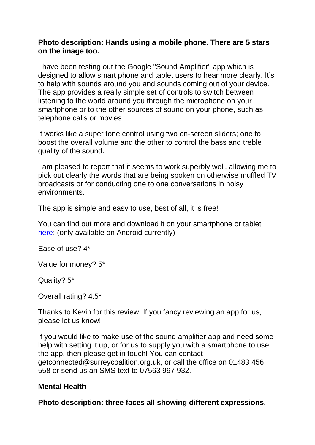### **Photo description: Hands using a mobile phone. There are 5 stars on the image too.**

I have been testing out the Google "Sound Amplifier" app which is designed to allow smart phone and tablet users to hear more clearly. It's to help with sounds around you and sounds coming out of your device. The app provides a really simple set of controls to switch between listening to the world around you through the microphone on your smartphone or to the other sources of sound on your phone, such as telephone calls or movies.

It works like a super tone control using two on-screen sliders; one to boost the overall volume and the other to control the bass and treble quality of the sound.

I am pleased to report that it seems to work superbly well, allowing me to pick out clearly the words that are being spoken on otherwise muffled TV broadcasts or for conducting one to one conversations in noisy environments.

The app is simple and easy to use, best of all, it is free!

You can find out more and download it on your smartphone or tablet [here:](https://play.google.com/store/apps/details?id=com.google.android.accessibility.soundamplifier&hl=en_GB&gl=US) (only available on Android currently)

Ease of use? 4\*

Value for money? 5\*

Quality? 5\*

Overall rating? 4.5\*

Thanks to Kevin for this review. If you fancy reviewing an app for us, please let us know!

If you would like to make use of the sound amplifier app and need some help with setting it up, or for us to supply you with a smartphone to use the app, then please get in touch! You can contact getconnected@surreycoalition.org.uk, or call the office on 01483 456 558 or send us an SMS text to 07563 997 932.

### **Mental Health**

**Photo description: three faces all showing different expressions.**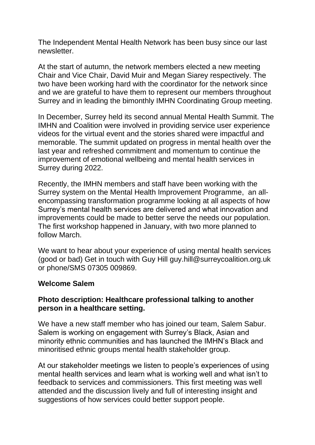The Independent Mental Health Network has been busy since our last newsletter.

At the start of autumn, the network members elected a new meeting Chair and Vice Chair, David Muir and Megan Siarey respectively. The two have been working hard with the coordinator for the network since and we are grateful to have them to represent our members throughout Surrey and in leading the bimonthly IMHN Coordinating Group meeting.

In December, Surrey held its second annual Mental Health Summit. The IMHN and Coalition were involved in providing service user experience videos for the virtual event and the stories shared were impactful and memorable. The summit updated on progress in mental health over the last year and refreshed commitment and momentum to continue the improvement of emotional wellbeing and mental health services in Surrey during 2022.

Recently, the IMHN members and staff have been working with the Surrey system on the Mental Health Improvement Programme, an allencompassing transformation programme looking at all aspects of how Surrey's mental health services are delivered and what innovation and improvements could be made to better serve the needs our population. The first workshop happened in January, with two more planned to follow March.

We want to hear about your experience of using mental health services (good or bad) Get in touch with Guy Hill guy.hill@surreycoalition.org.uk or phone/SMS 07305 009869.

#### **Welcome Salem**

### **Photo description: Healthcare professional talking to another person in a healthcare setting.**

We have a new staff member who has joined our team, Salem Sabur. Salem is working on engagement with Surrey's Black, Asian and minority ethnic communities and has launched the IMHN's Black and minoritised ethnic groups mental health stakeholder group.

At our stakeholder meetings we listen to people's experiences of using mental health services and learn what is working well and what isn't to feedback to services and commissioners. This first meeting was well attended and the discussion lively and full of interesting insight and suggestions of how services could better support people.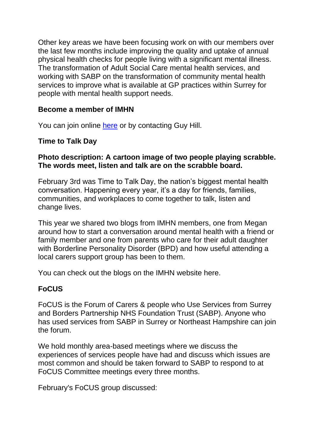Other key areas we have been focusing work on with our members over the last few months include improving the quality and uptake of annual physical health checks for people living with a significant mental illness. The transformation of Adult Social Care mental health services, and working with SABP on the transformation of community mental health services to improve what is available at GP practices within Surrey for people with mental health support needs.

### **Become a member of IMHN**

You can join online [here](https://www.imhnsurrey.com/about) or by contacting Guy Hill.

### **Time to Talk Day**

### **Photo description: A cartoon image of two people playing scrabble. The words meet, listen and talk are on the scrabble board.**

February 3rd was Time to Talk Day, the nation's biggest mental health conversation. Happening every year, it's a day for friends, families, communities, and workplaces to come together to talk, listen and change lives.

This year we shared two blogs from IMHN members, one from Megan around how to start a conversation around mental health with a friend or family member and one from parents who care for their adult daughter with Borderline Personality Disorder (BPD) and how useful attending a local carers support group has been to them.

You can check out the blogs on the IMHN website here.

# **FoCUS**

FoCUS is the Forum of Carers & people who Use Services from Surrey and Borders Partnership NHS Foundation Trust (SABP). Anyone who has used services from SABP in Surrey or Northeast Hampshire can join the forum.

We hold monthly area-based meetings where we discuss the experiences of services people have had and discuss which issues are most common and should be taken forward to SABP to respond to at FoCUS Committee meetings every three months.

February's FoCUS group discussed: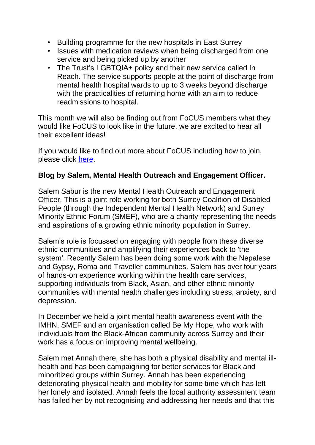- Building programme for the new hospitals in East Surrey
- Issues with medication reviews when being discharged from one service and being picked up by another
- The Trust's LGBTQIA+ policy and their new service called In Reach. The service supports people at the point of discharge from mental health hospital wards to up to 3 weeks beyond discharge with the practicalities of returning home with an aim to reduce readmissions to hospital.

This month we will also be finding out from FoCUS members what they would like FoCUS to look like in the future, we are excited to hear all their excellent ideas!

If you would like to find out more about FoCUS including how to join, please click [here.](https://surreycoalition.org.uk/special-interest-groups/focus/)

### **Blog by Salem, Mental Health Outreach and Engagement Officer.**

Salem Sabur is the new Mental Health Outreach and Engagement Officer. This is a joint role working for both Surrey Coalition of Disabled People (through the Independent Mental Health Network) and Surrey Minority Ethnic Forum (SMEF), who are a charity representing the needs and aspirations of a growing ethnic minority population in Surrey.

Salem's role is focussed on engaging with people from these diverse ethnic communities and amplifying their experiences back to 'the system'. Recently Salem has been doing some work with the Nepalese and Gypsy, Roma and Traveller communities. Salem has over four years of hands-on experience working within the health care services, supporting individuals from Black, Asian, and other ethnic minority communities with mental health challenges including stress, anxiety, and depression.

In December we held a joint mental health awareness event with the IMHN, SMEF and an organisation called Be My Hope, who work with individuals from the Black-African community across Surrey and their work has a focus on improving mental wellbeing.

Salem met Annah there, she has both a physical disability and mental illhealth and has been campaigning for better services for Black and minoritized groups within Surrey. Annah has been experiencing deteriorating physical health and mobility for some time which has left her lonely and isolated. Annah feels the local authority assessment team has failed her by not recognising and addressing her needs and that this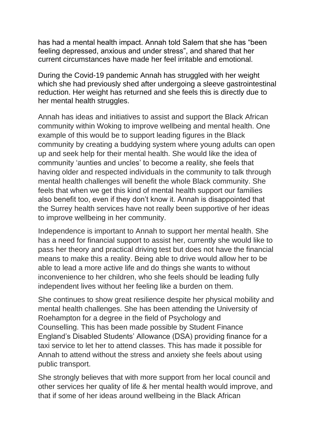has had a mental health impact. Annah told Salem that she has "been feeling depressed, anxious and under stress", and shared that her current circumstances have made her feel irritable and emotional.

During the Covid-19 pandemic Annah has struggled with her weight which she had previously shed after undergoing a sleeve gastrointestinal reduction. Her weight has returned and she feels this is directly due to her mental health struggles.

Annah has ideas and initiatives to assist and support the Black African community within Woking to improve wellbeing and mental health. One example of this would be to support leading figures in the Black community by creating a buddying system where young adults can open up and seek help for their mental health. She would like the idea of community 'aunties and uncles' to become a reality, she feels that having older and respected individuals in the community to talk through mental health challenges will benefit the whole Black community. She feels that when we get this kind of mental health support our families also benefit too, even if they don't know it. Annah is disappointed that the Surrey health services have not really been supportive of her ideas to improve wellbeing in her community.

Independence is important to Annah to support her mental health. She has a need for financial support to assist her, currently she would like to pass her theory and practical driving test but does not have the financial means to make this a reality. Being able to drive would allow her to be able to lead a more active life and do things she wants to without inconvenience to her children, who she feels should be leading fully independent lives without her feeling like a burden on them.

She continues to show great resilience despite her physical mobility and mental health challenges. She has been attending the University of Roehampton for a degree in the field of Psychology and Counselling. This has been made possible by Student Finance England's Disabled Students' Allowance (DSA) providing finance for a taxi service to let her to attend classes. This has made it possible for Annah to attend without the stress and anxiety she feels about using public transport.

She strongly believes that with more support from her local council and other services her quality of life & her mental health would improve, and that if some of her ideas around wellbeing in the Black African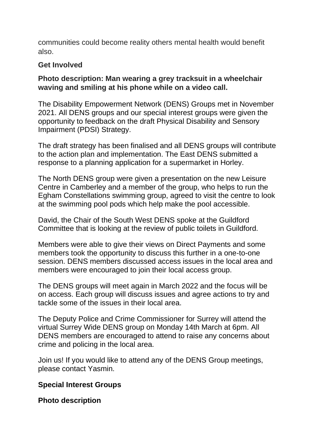communities could become reality others mental health would benefit also.

### **Get Involved**

### **Photo description: Man wearing a grey tracksuit in a wheelchair waving and smiling at his phone while on a video call.**

The Disability Empowerment Network (DENS) Groups met in November 2021. All DENS groups and our special interest groups were given the opportunity to feedback on the draft Physical Disability and Sensory Impairment (PDSI) Strategy.

The draft strategy has been finalised and all DENS groups will contribute to the action plan and implementation. The East DENS submitted a response to a planning application for a supermarket in Horley.

The North DENS group were given a presentation on the new Leisure Centre in Camberley and a member of the group, who helps to run the Egham Constellations swimming group, agreed to visit the centre to look at the swimming pool pods which help make the pool accessible.

David, the Chair of the South West DENS spoke at the Guildford Committee that is looking at the review of public toilets in Guildford.

Members were able to give their views on Direct Payments and some members took the opportunity to discuss this further in a one-to-one session. DENS members discussed access issues in the local area and members were encouraged to join their local access group.

The DENS groups will meet again in March 2022 and the focus will be on access. Each group will discuss issues and agree actions to try and tackle some of the issues in their local area.

The Deputy Police and Crime Commissioner for Surrey will attend the virtual Surrey Wide DENS group on Monday 14th March at 6pm. All DENS members are encouraged to attend to raise any concerns about crime and policing in the local area.

Join us! If you would like to attend any of the DENS Group meetings, please contact Yasmin.

### **Special Interest Groups**

**Photo description**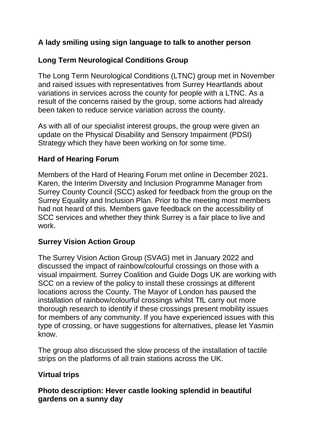# **A lady smiling using sign language to talk to another person**

# **Long Term Neurological Conditions Group**

The Long Term Neurological Conditions (LTNC) group met in November and raised issues with representatives from Surrey Heartlands about variations in services across the county for people with a LTNC. As a result of the concerns raised by the group, some actions had already been taken to reduce service variation across the county.

As with all of our specialist interest groups, the group were given an update on the Physical Disability and Sensory Impairment (PDSI) Strategy which they have been working on for some time.

### **Hard of Hearing Forum**

Members of the Hard of Hearing Forum met online in December 2021. Karen, the Interim Diversity and Inclusion Programme Manager from Surrey County Council (SCC) asked for feedback from the group on the Surrey Equality and Inclusion Plan. Prior to the meeting most members had not heard of this. Members gave feedback on the accessibility of SCC services and whether they think Surrey is a fair place to live and work.

### **Surrey Vision Action Group**

The Surrey Vision Action Group (SVAG) met in January 2022 and discussed the impact of rainbow/colourful crossings on those with a visual impairment. Surrey Coalition and Guide Dogs UK are working with SCC on a review of the policy to install these crossings at different locations across the County. The Mayor of London has paused the installation of rainbow/colourful crossings whilst TfL carry out more thorough research to identify if these crossings present mobility issues for members of any community. If you have experienced issues with this type of crossing, or have suggestions for alternatives, please let Yasmin know.

The group also discussed the slow process of the installation of tactile strips on the platforms of all train stations across the UK.

### **Virtual trips**

### **Photo description: Hever castle looking splendid in beautiful gardens on a sunny day**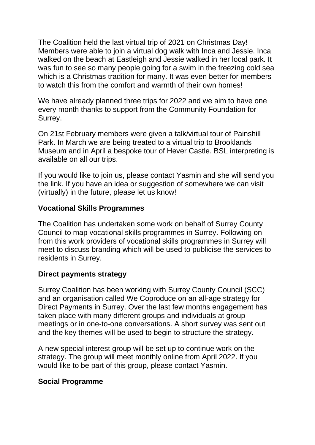The Coalition held the last virtual trip of 2021 on Christmas Day! Members were able to join a virtual dog walk with Inca and Jessie. Inca walked on the beach at Eastleigh and Jessie walked in her local park. It was fun to see so many people going for a swim in the freezing cold sea which is a Christmas tradition for many. It was even better for members to watch this from the comfort and warmth of their own homes!

We have already planned three trips for 2022 and we aim to have one every month thanks to support from the Community Foundation for Surrey.

On 21st February members were given a talk/virtual tour of Painshill Park. In March we are being treated to a virtual trip to Brooklands Museum and in April a bespoke tour of Hever Castle. BSL interpreting is available on all our trips.

If you would like to join us, please contact Yasmin and she will send you the link. If you have an idea or suggestion of somewhere we can visit (virtually) in the future, please let us know!

# **Vocational Skills Programmes**

The Coalition has undertaken some work on behalf of Surrey County Council to map vocational skills programmes in Surrey. Following on from this work providers of vocational skills programmes in Surrey will meet to discuss branding which will be used to publicise the services to residents in Surrey.

### **Direct payments strategy**

Surrey Coalition has been working with Surrey County Council (SCC) and an organisation called We Coproduce on an all-age strategy for Direct Payments in Surrey. Over the last few months engagement has taken place with many different groups and individuals at group meetings or in one-to-one conversations. A short survey was sent out and the key themes will be used to begin to structure the strategy.

A new special interest group will be set up to continue work on the strategy. The group will meet monthly online from April 2022. If you would like to be part of this group, please contact Yasmin.

### **Social Programme**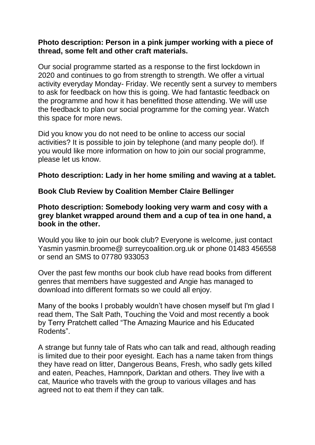### **Photo description: Person in a pink jumper working with a piece of thread, some felt and other craft materials.**

Our social programme started as a response to the first lockdown in 2020 and continues to go from strength to strength. We offer a virtual activity everyday Monday- Friday. We recently sent a survey to members to ask for feedback on how this is going. We had fantastic feedback on the programme and how it has benefitted those attending. We will use the feedback to plan our social programme for the coming year. Watch this space for more news.

Did you know you do not need to be online to access our social activities? It is possible to join by telephone (and many people do!). If you would like more information on how to join our social programme, please let us know.

### **Photo description: Lady in her home smiling and waving at a tablet.**

### **Book Club Review by Coalition Member Claire Bellinger**

### **Photo description: Somebody looking very warm and cosy with a grey blanket wrapped around them and a cup of tea in one hand, a book in the other.**

Would you like to join our book club? Everyone is welcome, just contact Yasmin yasmin.broome@ surreycoalition.org.uk or phone 01483 456558 or send an SMS to 07780 933053

Over the past few months our book club have read books from different genres that members have suggested and Angie has managed to download into different formats so we could all enjoy.

Many of the books I probably wouldn't have chosen myself but I'm glad I read them, The Salt Path, Touching the Void and most recently a book by Terry Pratchett called "The Amazing Maurice and his Educated Rodents".

A strange but funny tale of Rats who can talk and read, although reading is limited due to their poor eyesight. Each has a name taken from things they have read on litter, Dangerous Beans, Fresh, who sadly gets killed and eaten, Peaches, Hamnpork, Darktan and others. They live with a cat, Maurice who travels with the group to various villages and has agreed not to eat them if they can talk.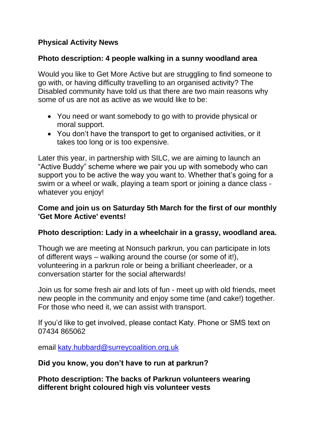# **Physical Activity News**

### **Photo description: 4 people walking in a sunny woodland area**

Would you like to Get More Active but are struggling to find someone to go with, or having difficulty travelling to an organised activity? The Disabled community have told us that there are two main reasons why some of us are not as active as we would like to be:

- You need or want somebody to go with to provide physical or moral support.
- You don't have the transport to get to organised activities, or it takes too long or is too expensive.

Later this year, in partnership with SILC, we are aiming to launch an "Active Buddy" scheme where we pair you up with somebody who can support you to be active the way you want to. Whether that's going for a swim or a wheel or walk, playing a team sport or joining a dance class whatever you enjoy!

### **Come and join us on Saturday 5th March for the first of our monthly 'Get More Active' events!**

### **Photo description: Lady in a wheelchair in a grassy, woodland area.**

Though we are meeting at Nonsuch parkrun, you can participate in lots of different ways – walking around the course (or some of it!), volunteering in a parkrun role or being a brilliant cheerleader, or a conversation starter for the social afterwards!

Join us for some fresh air and lots of fun - meet up with old friends, meet new people in the community and enjoy some time (and cake!) together. For those who need it, we can assist with transport.

If you'd like to get involved, please contact Katy. Phone or SMS text on 07434 865062

email [katy.hubbard@surreycoalition.org.uk](mailto:katy.hubbard@surreycoalition.org.uk)

#### **Did you know, you don't have to run at parkrun?**

**Photo description: The backs of Parkrun volunteers wearing different bright coloured high vis volunteer vests**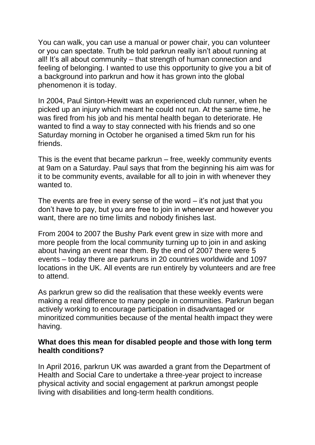You can walk, you can use a manual or power chair, you can volunteer or you can spectate. Truth be told parkrun really isn't about running at all! It's all about community – that strength of human connection and feeling of belonging. I wanted to use this opportunity to give you a bit of a background into parkrun and how it has grown into the global phenomenon it is today.

In 2004, Paul Sinton-Hewitt was an experienced club runner, when he picked up an injury which meant he could not run. At the same time, he was fired from his job and his mental health began to deteriorate. He wanted to find a way to stay connected with his friends and so one Saturday morning in October he organised a timed 5km run for his friends.

This is the event that became parkrun – free, weekly community events at 9am on a Saturday. Paul says that from the beginning his aim was for it to be community events, available for all to join in with whenever they wanted to.

The events are free in every sense of the word  $-$  it's not just that you don't have to pay, but you are free to join in whenever and however you want, there are no time limits and nobody finishes last.

From 2004 to 2007 the Bushy Park event grew in size with more and more people from the local community turning up to join in and asking about having an event near them. By the end of 2007 there were 5 events – today there are parkruns in 20 countries worldwide and 1097 locations in the UK. All events are run entirely by volunteers and are free to attend.

As parkrun grew so did the realisation that these weekly events were making a real difference to many people in communities. Parkrun began actively working to encourage participation in disadvantaged or minoritized communities because of the mental health impact they were having.

#### **What does this mean for disabled people and those with long term health conditions?**

In April 2016, parkrun UK was awarded a grant from the Department of Health and Social Care to undertake a three-year project to increase physical activity and social engagement at parkrun amongst people living with disabilities and long-term health conditions.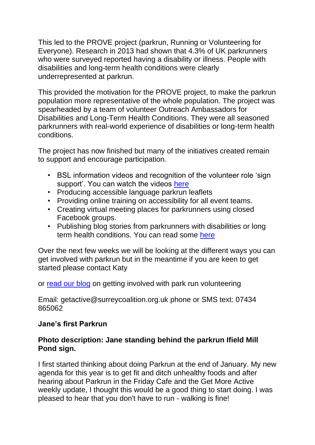This led to the PROVE project (parkrun, Running or Volunteering for Everyone). Research in 2013 had shown that 4.3% of UK parkrunners who were surveyed reported having a disability or illness. People with disabilities and long-term health conditions were clearly underrepresented at parkrun.

This provided the motivation for the PROVE project, to make the parkrun population more representative of the whole population. The project was spearheaded by a team of volunteer Outreach Ambassadors for Disabilities and Long-Term Health Conditions. They were all seasoned parkrunners with real-world experience of disabilities or long-term health conditions.

The project has now finished but many of the initiatives created remain to support and encourage participation.

- BSL information videos and recognition of the volunteer role 'sign support'. You can watch the videos [here](https://www.youtube.com/playlist?list=PLoeMsRMBXw6vNom9SaptWbfj76JmeSfCr)
- Producing accessible language parkrun leaflets
- Providing online training on accessibility for all event teams.
- Creating virtual meeting places for parkrunners using closed Facebook groups.
- Publishing blog stories from parkrunners with disabilities or long term health conditions. You can read some [here](https://blog.parkrun.com/uk/tag/prove-project/)

Over the next few weeks we will be looking at the different ways you can get involved with parkrun but in the meantime if you are keen to get started please contact Katy

or [read our blog](https://surreycoalition.org.uk/2022/01/20/parkrun-you-dont-have-to-run/) on getting involved with park run volunteering

Email: getactive@surreycoalition.org.uk phone or SMS text: 07434 865062

### **Jane's first Parkrun**

### **Photo description: Jane standing behind the parkrun Ifield Mill Pond sign.**

I first started thinking about doing Parkrun at the end of January. My new agenda for this year is to get fit and ditch unhealthy foods and after hearing about Parkrun in the Friday Cafe and the Get More Active weekly update, I thought this would be a good thing to start doing. I was pleased to hear that you don't have to run - walking is fine!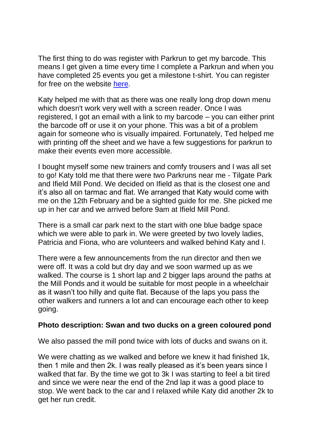The first thing to do was register with Parkrun to get my barcode. This means I get given a time every time I complete a Parkrun and when you have completed 25 events you get a milestone t-shirt. You can register for free on the website [here.](https://www.parkrun.org.uk/register/)

Katy helped me with that as there was one really long drop down menu which doesn't work very well with a screen reader. Once I was registered, I got an email with a link to my barcode – you can either print the barcode off or use it on your phone. This was a bit of a problem again for someone who is visually impaired. Fortunately, Ted helped me with printing off the sheet and we have a few suggestions for parkrun to make their events even more accessible.

I bought myself some new trainers and comfy trousers and I was all set to go! Katy told me that there were two Parkruns near me - Tilgate Park and Ifield Mill Pond. We decided on Ifield as that is the closest one and it's also all on tarmac and flat. We arranged that Katy would come with me on the 12th February and be a sighted guide for me. She picked me up in her car and we arrived before 9am at Ifield Mill Pond.

There is a small car park next to the start with one blue badge space which we were able to park in. We were greeted by two lovely ladies, Patricia and Fiona, who are volunteers and walked behind Katy and I.

There were a few announcements from the run director and then we were off. It was a cold but dry day and we soon warmed up as we walked. The course is 1 short lap and 2 bigger laps around the paths at the Mill Ponds and it would be suitable for most people in a wheelchair as it wasn't too hilly and quite flat. Because of the laps you pass the other walkers and runners a lot and can encourage each other to keep going.

#### **Photo description: Swan and two ducks on a green coloured pond**

We also passed the mill pond twice with lots of ducks and swans on it.

We were chatting as we walked and before we knew it had finished 1k, then 1 mile and then 2k. I was really pleased as it's been years since I walked that far. By the time we got to 3k I was starting to feel a bit tired and since we were near the end of the 2nd lap it was a good place to stop. We went back to the car and I relaxed while Katy did another 2k to get her run credit.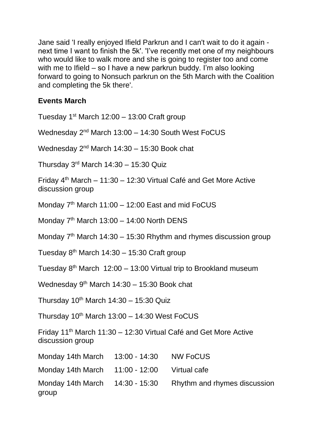Jane said 'I really enjoyed Ifield Parkrun and I can't wait to do it again next time I want to finish the 5k'. 'I've recently met one of my neighbours who would like to walk more and she is going to register too and come with me to Ifield – so I have a new parkrun buddy. I'm also looking forward to going to Nonsuch parkrun on the 5th March with the Coalition and completing the 5k there'.

# **Events March**

Tuesday  $1<sup>st</sup>$  March 12:00 – 13:00 Craft group Wednesday  $2<sup>nd</sup>$  March 13:00 – 14:30 South West FoCUS Wednesday  $2<sup>nd</sup>$  March 14:30 – 15:30 Book chat Thursday  $3<sup>rd</sup>$  March 14:30 – 15:30 Quiz Friday  $4<sup>th</sup>$  March – 11:30 – 12:30 Virtual Café and Get More Active discussion group Monday  $7<sup>th</sup>$  March 11:00 – 12:00 East and mid FoCUS Monday  $7<sup>th</sup>$  March 13:00 – 14:00 North DENS Monday  $7<sup>th</sup>$  March 14:30 – 15:30 Rhythm and rhymes discussion group Tuesday  $8<sup>th</sup>$  March 14:30 – 15:30 Craft group Tuesday  $8<sup>th</sup>$  March 12:00 – 13:00 Virtual trip to Brookland museum Wednesday  $9<sup>th</sup>$  March 14:30 – 15:30 Book chat Thursday  $10^{th}$  March  $14:30 - 15:30$  Quiz Thursday  $10^{th}$  March  $13:00 - 14:30$  West FoCUS Friday 11th March 11:30 – 12:30 Virtual Café and Get More Active discussion group Monday 14th March 13:00 - 14:30 NW FoCUS Monday 14th March 11:00 - 12:00 Virtual cafe Monday 14th March 14:30 - 15:30 Rhythm and rhymes discussion group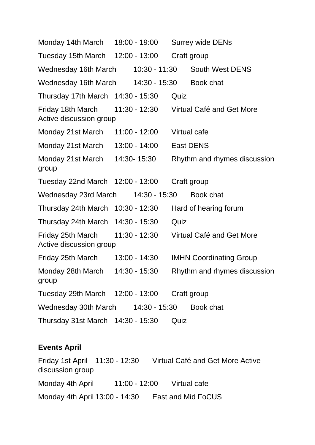Monday 14th March 18:00 - 19:00 Surrey wide DENs Tuesday 15th March 12:00 - 13:00 Craft group Wednesday 16th March 10:30 - 11:30 South West DENS Wednesday 16th March 14:30 - 15:30 Book chat Thursday 17th March 14:30 - 15:30 Quiz Friday 18th March 11:30 - 12:30 Virtual Café and Get More Active discussion group Monday 21st March 11:00 - 12:00 Virtual cafe Monday 21st March 13:00 - 14:00 East DENS Monday 21st March 14:30- 15:30 Rhythm and rhymes discussion group Tuesday 22nd March 12:00 - 13:00 Craft group Wednesday 23rd March 14:30 - 15:30 Book chat Thursday 24th March 10:30 - 12:30 Hard of hearing forum Thursday 24th March 14:30 - 15:30 Quiz Friday 25th March 11:30 - 12:30 Virtual Café and Get More Active discussion group Friday 25th March 13:00 - 14:30 IMHN Coordinating Group Monday 28th March 14:30 - 15:30 Rhythm and rhymes discussion group Tuesday 29th March 12:00 - 13:00 Craft group Wednesday 30th March 14:30 - 15:30 Book chat Thursday 31st March 14:30 - 15:30 Quiz

#### **Events April**

Friday 1st April 11:30 - 12:30 Virtual Café and Get More Active discussion group Monday 4th April 11:00 - 12:00 Virtual cafe Monday 4th April 13:00 - 14:30 East and Mid FoCUS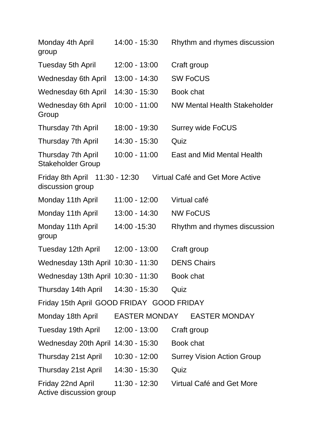| Monday 4th April<br>group                          | 14:00 - 15:30   | Rhythm and rhymes discussion        |  |  |
|----------------------------------------------------|-----------------|-------------------------------------|--|--|
| <b>Tuesday 5th April</b>                           | 12:00 - 13:00   | Craft group                         |  |  |
| <b>Wednesday 6th April</b>                         | 13:00 - 14:30   | <b>SW FoCUS</b>                     |  |  |
| <b>Wednesday 6th April</b>                         | 14:30 - 15:30   | Book chat                           |  |  |
| <b>Wednesday 6th April</b><br>Group                | $10:00 - 11:00$ | <b>NW Mental Health Stakeholder</b> |  |  |
| <b>Thursday 7th April</b>                          | 18:00 - 19:30   | <b>Surrey wide FoCUS</b>            |  |  |
| <b>Thursday 7th April</b>                          | 14:30 - 15:30   | Quiz                                |  |  |
| Thursday 7th April<br><b>Stakeholder Group</b>     | $10:00 - 11:00$ | <b>East and Mid Mental Health</b>   |  |  |
| Friday 8th April 11:30 - 12:30<br>discussion group |                 | Virtual Café and Get More Active    |  |  |
| Monday 11th April                                  | $11:00 - 12:00$ | Virtual café                        |  |  |
| Monday 11th April                                  | 13:00 - 14:30   | <b>NW FoCUS</b>                     |  |  |
| Monday 11th April<br>group                         | 14:00 - 15:30   | Rhythm and rhymes discussion        |  |  |
| Tuesday 12th April                                 | 12:00 - 13:00   | Craft group                         |  |  |
| Wednesday 13th April 10:30 - 11:30                 |                 | <b>DENS Chairs</b>                  |  |  |
| Wednesday 13th April 10:30 - 11:30                 |                 | Book chat                           |  |  |
| Thursday 14th April                                | 14:30 - 15:30   | Quiz                                |  |  |
| Friday 15th April GOOD FRIDAY GOOD FRIDAY          |                 |                                     |  |  |
| Monday 18th April                                  |                 | EASTER MONDAY EASTER MONDAY         |  |  |
| Tuesday 19th April                                 | 12:00 - 13:00   | Craft group                         |  |  |
| Wednesday 20th April 14:30 - 15:30                 |                 | Book chat                           |  |  |
| Thursday 21st April                                | 10:30 - 12:00   | <b>Surrey Vision Action Group</b>   |  |  |
| Thursday 21st April                                | 14:30 - 15:30   | Quiz                                |  |  |
| Friday 22nd April<br>Active discussion group       | 11:30 - 12:30   | Virtual Café and Get More           |  |  |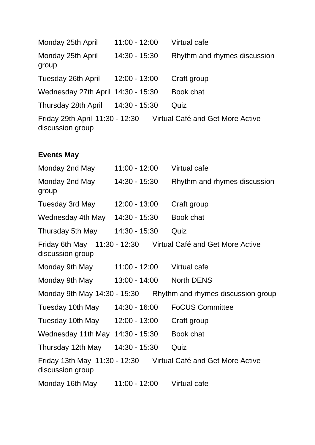| Monday 25th April                  | $11:00 - 12:00$ | Virtual cafe                                                     |
|------------------------------------|-----------------|------------------------------------------------------------------|
| Monday 25th April<br>group         | 14:30 - 15:30   | Rhythm and rhymes discussion                                     |
| Tuesday 26th April                 | $12:00 - 13:00$ | Craft group                                                      |
| Wednesday 27th April 14:30 - 15:30 |                 | Book chat                                                        |
| Thursday 28th April                | 14:30 - 15:30   | Quiz                                                             |
| discussion group                   |                 | Friday 29th April 11:30 - 12:30 Virtual Café and Get More Active |
| <b>Events May</b>                  |                 |                                                                  |
| Monday 2nd May                     | $11:00 - 12:00$ | Virtual cafe                                                     |
| Monday 2nd May<br>group            | 14:30 - 15:30   | Rhythm and rhymes discussion                                     |
| Tuesday 3rd May                    | $12:00 - 13:00$ | Craft group                                                      |
| Wednesday 4th May                  | 14:30 - 15:30   | Book chat                                                        |
| Thursday 5th May                   | 14:30 - 15:30   | Quiz                                                             |
| discussion group                   |                 | Friday 6th May 11:30 - 12:30 Virtual Café and Get More Active    |
| Monday 9th May                     | 11:00 - 12:00   | Virtual cafe                                                     |
| Monday 9th May                     | 13:00 - 14:00   | <b>North DENS</b>                                                |
|                                    |                 | Monday 9th May 14:30 - 15:30 Rhythm and rhymes discussion group  |
| Tuesday 10th May                   | 14:30 - 16:00   | <b>FoCUS Committee</b>                                           |
| Tuesday 10th May                   | $12:00 - 13:00$ | Craft group                                                      |
| Wednesday 11th May 14:30 - 15:30   |                 | Book chat                                                        |
| Thursday 12th May                  | 14:30 - 15:30   | Quiz                                                             |
| discussion group                   |                 | Friday 13th May 11:30 - 12:30 Virtual Café and Get More Active   |
| Monday 16th May 11:00 - 12:00      |                 | Virtual cafe                                                     |
|                                    |                 |                                                                  |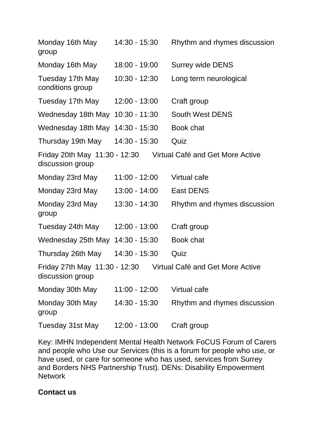| Monday 16th May<br>group                          | 14:30 - 15:30   | Rhythm and rhymes discussion                                   |
|---------------------------------------------------|-----------------|----------------------------------------------------------------|
| Monday 16th May                                   | 18:00 - 19:00   | <b>Surrey wide DENS</b>                                        |
| Tuesday 17th May<br>conditions group              | 10:30 - 12:30   | Long term neurological                                         |
| Tuesday 17th May                                  | 12:00 - 13:00   | Craft group                                                    |
| Wednesday 18th May                                | $10:30 - 11:30$ | <b>South West DENS</b>                                         |
| Wednesday 18th May 14:30 - 15:30                  |                 | Book chat                                                      |
| Thursday 19th May                                 | 14:30 - 15:30   | Quiz                                                           |
| discussion group                                  |                 | Friday 20th May 11:30 - 12:30 Virtual Café and Get More Active |
| Monday 23rd May                                   | $11:00 - 12:00$ | Virtual cafe                                                   |
| Monday 23rd May                                   | 13:00 - 14:00   | <b>East DENS</b>                                               |
| Monday 23rd May<br>group                          | 13:30 - 14:30   | Rhythm and rhymes discussion                                   |
| Tuesday 24th May                                  | 12:00 - 13:00   | Craft group                                                    |
| Wednesday 25th May 14:30 - 15:30                  |                 | Book chat                                                      |
| Thursday 26th May                                 | 14:30 - 15:30   | Quiz                                                           |
| Friday 27th May 11:30 - 12:30<br>discussion group |                 | Virtual Café and Get More Active                               |
| Monday 30th May                                   | 11:00 - 12:00   | Virtual cafe                                                   |
| Monday 30th May<br>group                          | 14:30 - 15:30   | Rhythm and rhymes discussion                                   |
| Tuesday 31st May                                  | 12:00 - 13:00   | Craft group                                                    |

Key: IMHN Independent Mental Health Network FoCUS Forum of Carers and people who Use our Services (this is a forum for people who use, or have used, or care for someone who has used, services from Surrey and Borders NHS Partnership Trust). DENs: Disability Empowerment **Network** 

#### **Contact us**